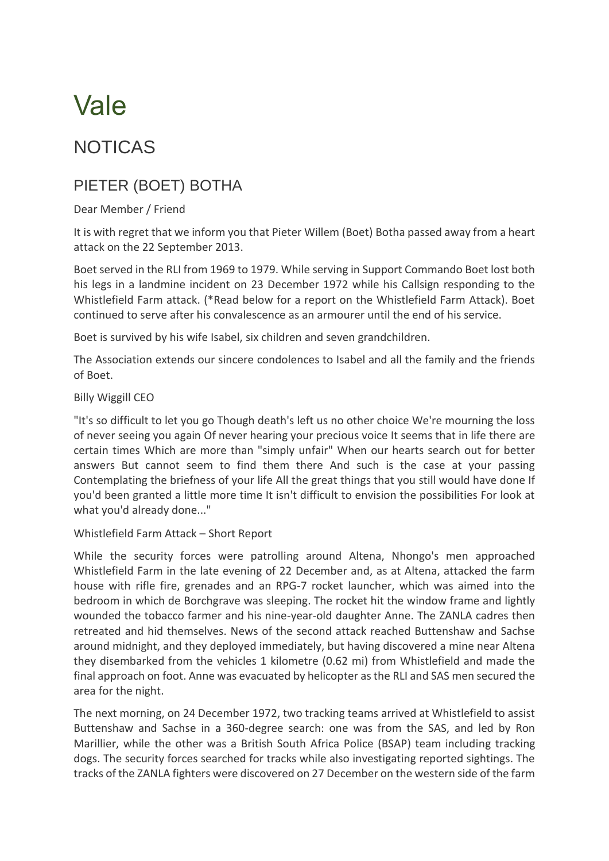# Vale

## NOTICAS

### PIETER (BOET) BOTHA

#### Dear Member / Friend

It is with regret that we inform you that Pieter Willem (Boet) Botha passed away from a heart attack on the 22 September 2013.

Boet served in the RLI from 1969 to 1979. While serving in Support Commando Boet lost both his legs in a landmine incident on 23 December 1972 while his Callsign responding to the Whistlefield Farm attack. (\*Read below for a report on the Whistlefield Farm Attack). Boet continued to serve after his convalescence as an armourer until the end of his service.

Boet is survived by his wife Isabel, six children and seven grandchildren.

The Association extends our sincere condolences to Isabel and all the family and the friends of Boet.

#### Billy Wiggill CEO

"It's so difficult to let you go Though death's left us no other choice We're mourning the loss of never seeing you again Of never hearing your precious voice It seems that in life there are certain times Which are more than "simply unfair" When our hearts search out for better answers But cannot seem to find them there And such is the case at your passing Contemplating the briefness of your life All the great things that you still would have done If you'd been granted a little more time It isn't difficult to envision the possibilities For look at what you'd already done..."

#### Whistlefield Farm Attack – Short Report

While the security forces were patrolling around Altena, Nhongo's men approached Whistlefield Farm in the late evening of 22 December and, as at Altena, attacked the farm house with rifle fire, grenades and an RPG-7 rocket launcher, which was aimed into the bedroom in which de Borchgrave was sleeping. The rocket hit the window frame and lightly wounded the tobacco farmer and his nine-year-old daughter Anne. The ZANLA cadres then retreated and hid themselves. News of the second attack reached Buttenshaw and Sachse around midnight, and they deployed immediately, but having discovered a mine near Altena they disembarked from the vehicles 1 kilometre (0.62 mi) from Whistlefield and made the final approach on foot. Anne was evacuated by helicopter as the RLI and SAS men secured the area for the night.

The next morning, on 24 December 1972, two tracking teams arrived at Whistlefield to assist Buttenshaw and Sachse in a 360-degree search: one was from the SAS, and led by Ron Marillier, while the other was a British South Africa Police (BSAP) team including tracking dogs. The security forces searched for tracks while also investigating reported sightings. The tracks of the ZANLA fighters were discovered on 27 December on the western side of the farm